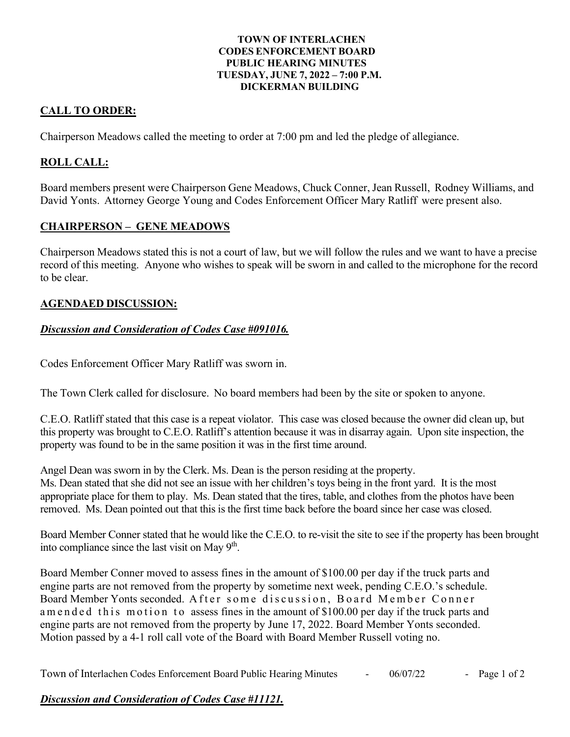#### **TOWN OF INTERLACHEN CODES ENFORCEMENT BOARD PUBLIC HEARING MINUTES TUESDAY, JUNE 7, 2022 – 7:00 P.M. DICKERMAN BUILDING**

# **CALL TO ORDER:**

Chairperson Meadows called the meeting to order at 7:00 pm and led the pledge of allegiance.

## **ROLL CALL:**

Board members present were Chairperson Gene Meadows, Chuck Conner, Jean Russell, Rodney Williams, and David Yonts. Attorney George Young and Codes Enforcement Officer Mary Ratliff were present also.

### **CHAIRPERSON – GENE MEADOWS**

Chairperson Meadows stated this is not a court of law, but we will follow the rules and we want to have a precise record of this meeting. Anyone who wishes to speak will be sworn in and called to the microphone for the record to be clear.

### **AGENDAED DISCUSSION:**

### *Discussion and Consideration of Codes Case #091016.*

Codes Enforcement Officer Mary Ratliff was sworn in.

The Town Clerk called for disclosure. No board members had been by the site or spoken to anyone.

C.E.O. Ratliff stated that this case is a repeat violator. This case was closed because the owner did clean up, but this property was brought to C.E.O. Ratliff's attention because it was in disarray again. Upon site inspection, the property was found to be in the same position it was in the first time around.

Angel Dean was sworn in by the Clerk. Ms. Dean is the person residing at the property. Ms. Dean stated that she did not see an issue with her children's toys being in the front yard. It is the most appropriate place for them to play. Ms. Dean stated that the tires, table, and clothes from the photos have been removed. Ms. Dean pointed out that this is the first time back before the board since her case was closed.

Board Member Conner stated that he would like the C.E.O. to re-visit the site to see if the property has been brought into compliance since the last visit on May  $9<sup>th</sup>$ .

Board Member Conner moved to assess fines in the amount of \$100.00 per day if the truck parts and engine parts are not removed from the property by sometime next week, pending C.E.O.'s schedule. Board Member Yonts seconded. After some discussion, Board Member Conner a m ended this motion to assess fines in the amount of \$100.00 per day if the truck parts and engine parts are not removed from the property by June 17, 2022. Board Member Yonts seconded. Motion passed by a 4-1 roll call vote of the Board with Board Member Russell voting no.

Town of Interlachen Codes Enforcement Board Public Hearing Minutes - 06/07/22 - Page 1 of 2

### *Discussion and Consideration of Codes Case #11121.*